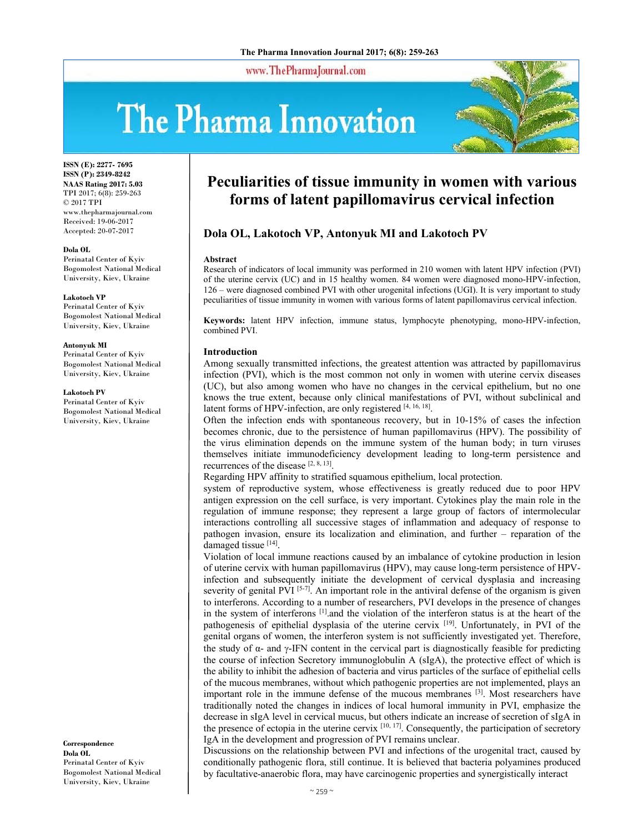www.ThePharmaJournal.com

# The Pharma Innovation



**ISSN (E): 2277- 7695 ISSN (P): 2349-8242 NAAS Rating 2017: 5.03** TPI 2017; 6(8): 259-263 © 2017 TPI www.thepharmajournal.com Received: 19-06-2017 Accepted: 20-07-2017

#### **Dola OL**

Perinatal Center of Kyiv Bogomolest National Medical University, Kiev, Ukraine

**Lakotoch VP**  Perinatal Center of Kyiv Bogomolest National Medical University, Kiev, Ukraine

**Аntonyuk MI**  Perinatal Center of Kyiv Bogomolest National Medical University, Kiev, Ukraine

**Lakotoch PV** 

Perinatal Center of Kyiv Bogomolest National Medical University, Kiev, Ukraine

**Correspondence Dola OL** Perinatal Center of Kyiv Bogomolest National Medical University, Kiev, Ukraine

# **Peculiarities of tissue immunity in women with various forms of latent papillomavirus cervical infection**

# **Dola OL, Lakotoch VP, Аntonyuk MI and Lakotoch PV**

#### **Abstract**

Research of indicators of local immunity was performed in 210 women with latent HPV infection (PVI) of the uterine cervix (UC) and in 15 healthy women. 84 women were diagnosed mono-HPV-infection, 126 – were diagnosed combined PVI with other urogenital infections (UGI). It is very important to study peculiarities of tissue immunity in women with various forms of latent papillomavirus cervical infection.

**Keywords:** latent HPV infection, immune status, lymphocyte phenotyping, mono-HPV-infection, combined PVI.

#### **Introduction**

Among sexually transmitted infections, the greatest attention was attracted by papillomavirus infection (PVI), which is the most common not only in women with uterine cervix diseases (UC), but also among women who have no changes in the cervical epithelium, but no one knows the true extent, because only clinical manifestations of PVI, without subclinical and latent forms of HPV-infection, are only registered [4, 16, 18].

Often the infection ends with spontaneous recovery, but in 10-15% of cases the infection becomes chronic, due to the persistence of human papillomavirus (HPV). The possibility of the virus elimination depends on the immune system of the human body; in turn viruses themselves initiate immunodeficiency development leading to long-term persistence and recurrences of the disease [2, 8, 13].

Regarding HPV affinity to stratified squamous epithelium, local protection.

system of reproductive system, whose effectiveness is greatly reduced due to poor HPV antigen expression on the cell surface, is very important. Cytokines play the main role in the regulation of immune response; they represent a large group of factors of intermolecular interactions controlling all successive stages of inflammation and adequacy of response to pathogen invasion, ensure its localization and elimination, and further – reparation of the damaged tissue [14].

Violation of local immune reactions caused by an imbalance of cytokine production in lesion of uterine cervix with human papillomavirus (HPV), may cause long-term persistence of HPVinfection and subsequently initiate the development of cervical dysplasia and increasing severity of genital PVI [5-7]. An important role in the antiviral defense of the organism is given to interferons. According to a number of researchers, PVI develops in the presence of changes in the system of interferons  $\left[1\right]$  and the violation of the interferon status is at the heart of the pathogenesis of epithelial dysplasia of the uterine cervix [19]. Unfortunately, in PVI of the genital organs of women, the interferon system is not sufficiently investigated yet. Therefore, the study of  $\alpha$ - and  $\gamma$ -IFN content in the cervical part is diagnostically feasible for predicting the course of infection Secretory immunoglobulin A (sIgA), the protective effect of which is the ability to inhibit the adhesion of bacteria and virus particles of the surface of epithelial cells of the mucous membranes, without which pathogenic properties are not implemented, plays an important role in the immune defense of the mucous membranes  $[3]$ . Most researchers have traditionally noted the changes in indices of local humoral immunity in PVI, emphasize the decrease in sIgA level in cervical mucus, but others indicate an increase of secretion of sIgA in the presence of ectopia in the uterine cervix [10, 17]. Consequently, the participation of secretory IgA in the development and progression of PVI remains unclear.

Discussions on the relationship between PVI and infections of the urogenital tract, caused by conditionally pathogenic flora, still continue. It is believed that bacteria polyamines produced by facultative-anaerobic flora, may have carcinogenic properties and synergistically interact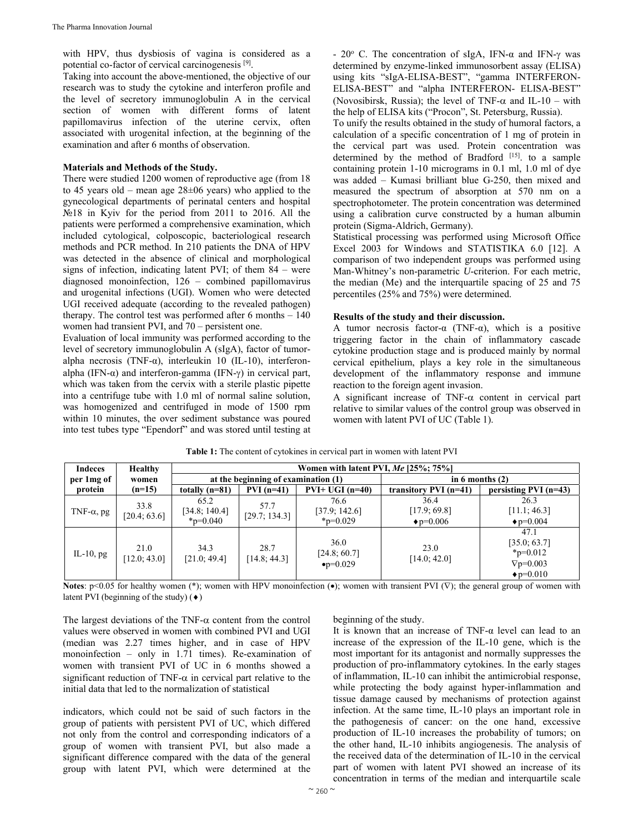with HPV, thus dysbiosis of vagina is considered as a potential co-factor of cervical carcinogenesis [9].

Taking into account the above-mentioned, the objective of our research was to study the cytokine and interferon profile and the level of secretory immunoglobulin A in the cervical section of women with different forms of latent papillomavirus infection of the uterine cervix, often associated with urogenital infection, at the beginning of the examination and after 6 months of observation.

# **Materials and Methods of the Study.**

There were studied 1200 women of reproductive age (from 18 to 45 years old – mean age  $28\pm 06$  years) who applied to the gynecological departments of perinatal centers and hospital №18 in Kyiv for the period from 2011 to 2016. All the patients were performed a comprehensive examination, which included cytological, colposcopic, bacteriological research methods and PCR method. In 210 patients the DNA of HPV was detected in the absence of clinical and morphological signs of infection, indicating latent PVI; of them 84 – were diagnosed monoinfection, 126 – combined papillomavirus and urogenital infections (UGI). Women who were detected UGI received adequate (according to the revealed pathogen) therapy. The control test was performed after 6 months – 140 women had transient PVI, and 70 – persistent one.

Evaluation of local immunity was performed according to the level of secretory immunoglobulin A (sIgA), factor of tumoralpha necrosis (TNF-α), interleukin 10 (IL-10), interferonalpha (IFN- $\alpha$ ) and interferon-gamma (IFN- $\gamma$ ) in cervical part, which was taken from the cervix with a sterile plastic pipette into a centrifuge tube with 1.0 ml of normal saline solution, was homogenized and centrifuged in mode of 1500 rpm within 10 minutes, the over sediment substance was poured into test tubes type "Ependorf" and was stored until testing at

- 20 $\degree$  C. The concentration of sIgA, IFN-α and IFN-γ was determined by enzyme-linked immunosorbent assay (ELISA) using kits "sIgA-ELISA-BEST", "gamma INTERFERON-ELISA-BEST" and "alpha INTERFERON- ELISA-BEST" (Novosibirsk, Russia); the level of TNF- $\alpha$  and IL-10 – with the help of ELISA kits ("Procon", St. Petersburg, Russia).

To unify the results obtained in the study of humoral factors, a calculation of a specific concentration of 1 mg of protein in the cervical part was used. Protein concentration was determined by the method of Bradford  $[15]$ . to a sample containing protein 1-10 micrograms in 0.1 ml, 1.0 ml of dye was added – Kumasi brilliant blue G-250, then mixed and measured the spectrum of absorption at 570 nm on a spectrophotometer. The protein concentration was determined using a calibration curve constructed by a human albumin protein (Sigma-Aldrich, Germany).

Statistical processing was performed using Microsoft Office Excel 2003 for Windows and STATISTIKA 6.0 [12]. A comparison of two independent groups was performed using Man-Whitney's non-parametric *U*-criterion. For each metric, the median (Me) and the interquartile spacing of 25 and 75 percentiles (25% and 75%) were determined.

### **Results of the study and their discussion.**

A tumor necrosis factor- $\alpha$  (TNF- $\alpha$ ), which is a positive triggering factor in the chain of inflammatory cascade cytokine production stage and is produced mainly by normal cervical epithelium, plays a key role in the simultaneous development of the inflammatory response and immune reaction to the foreign agent invasion.

A significant increase of TNF- $\alpha$  content in cervical part relative to similar values of the control group was observed in women with latent PVI of UC (Table 1).

| Indeces            | <b>Healthy</b>       | Women with latent PVI, $Me$ [25%; 75%]    |                                     |                                             |                                           |                                                                                  |  |  |
|--------------------|----------------------|-------------------------------------------|-------------------------------------|---------------------------------------------|-------------------------------------------|----------------------------------------------------------------------------------|--|--|
| per 1 mg of        | women                |                                           | at the beginning of examination (1) |                                             | in 6 months $(2)$                         |                                                                                  |  |  |
| protein            | $(n=15)$             | totally $(n=81)$                          | $PVI(n=41)$                         | $PVI+ UGI(n=40)$                            | transitory PVI $(n=41)$                   | persisting PVI $(n=43)$                                                          |  |  |
| TNF- $\alpha$ , pg | 33.8<br>[20.4; 63.6] | 65.2<br>[34.8; 140.4]<br>$_{\rm p=0.040}$ | 57.7<br>[29.7; 134.3]               | 76.6<br>[37.9; 142.6]<br>$*_{p=0.029}$      | 36.4<br>[17.9; 69.8]<br>$\bullet$ p=0.006 | 26.3<br>[11.1; 46.3]<br>$\bullet$ p=0.004                                        |  |  |
| IL-10, $pg$        | 21.0<br>[12.0; 43.0] | 34.3<br>[21.0; 49.4]                      | 28.7<br>[14.8; 44.3]                | 36.0<br>[24.8; 60.7]<br>$\bullet p = 0.029$ | 23.0<br>[14.0; 42.0]                      | 47.1<br>[35.0; 63.7]<br>$*_{p=0.012}$<br>$\nabla p = 0.003$<br>$\bullet$ p=0.010 |  |  |

**Table 1:** The content of cytokines in cervical part in women with latent PVI

**Notes**:  $p<0.05$  for healthy women (\*); women with HPV monoinfection ( $\bullet$ ); women with transient PVI ( $\nabla$ ); the general group of women with latent PVI (beginning of the study)  $(\bullet)$ 

The largest deviations of the TNF- $\alpha$  content from the control values were observed in women with combined PVI and UGI (median was 2.27 times higher, and in case of HPV monoinfection – only in 1.71 times). Re-examination of women with transient PVI of UC in 6 months showed a significant reduction of TNF- $\alpha$  in cervical part relative to the initial data that led to the normalization of statistical

indicators, which could not be said of such factors in the group of patients with persistent PVI of UC, which differed not only from the control and corresponding indicators of a group of women with transient PVI, but also made a significant difference compared with the data of the general group with latent PVI, which were determined at the

beginning of the study.

It is known that an increase of TNF- $\alpha$  level can lead to an increase of the expression of the IL-10 gene, which is the most important for its antagonist and normally suppresses the production of pro-inflammatory cytokines. In the early stages of inflammation, IL-10 can inhibit the antimicrobial response, while protecting the body against hyper-inflammation and tissue damage caused by mechanisms of protection against infection. At the same time, IL-10 plays an important role in the pathogenesis of cancer: on the one hand, excessive production of IL-10 increases the probability of tumors; on the other hand, IL-10 inhibits angiogenesis. The analysis of the received data of the determination of IL-10 in the cervical part of women with latent PVI showed an increase of its concentration in terms of the median and interquartile scale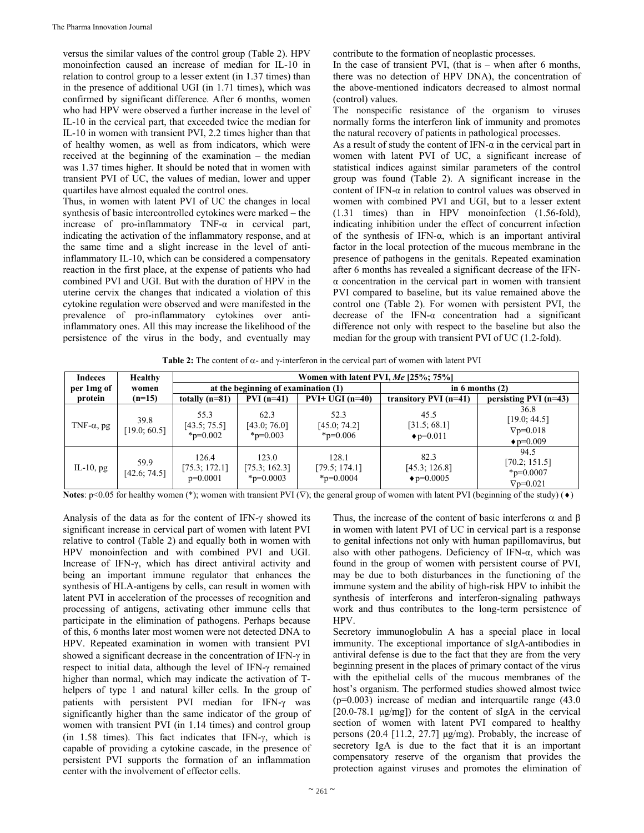versus the similar values of the control group (Table 2). HPV monoinfection caused an increase of median for IL-10 in relation to control group to a lesser extent (in 1.37 times) than in the presence of additional UGI (in 1.71 times), which was confirmed by significant difference. After 6 months, women who had HPV were observed a further increase in the level of IL-10 in the cervical part, that exceeded twice the median for IL-10 in women with transient PVI, 2.2 times higher than that of healthy women, as well as from indicators, which were received at the beginning of the examination – the median was 1.37 times higher. It should be noted that in women with transient PVI of UC, the values of median, lower and upper quartiles have almost equaled the control ones.

Thus, in women with latent PVI of UC the changes in local synthesis of basic intercontrolled cytokines were marked – the increase of pro-inflammatory TNF- $\alpha$  in cervical part, indicating the activation of the inflammatory response, and at the same time and a slight increase in the level of antiinflammatory IL-10, which can be considered a compensatory reaction in the first place, at the expense of patients who had combined PVI and UGI. But with the duration of HPV in the uterine cervix the changes that indicated a violation of this cytokine regulation were observed and were manifested in the prevalence of pro-inflammatory cytokines over antiinflammatory ones. All this may increase the likelihood of the persistence of the virus in the body, and eventually may

contribute to the formation of neoplastic processes.

In the case of transient PVI, (that is  $-$  when after 6 months, there was no detection of HPV DNA), the concentration of the above-mentioned indicators decreased to almost normal (control) values.

The nonspecific resistance of the organism to viruses normally forms the interferon link of immunity and promotes the natural recovery of patients in pathological processes.

As a result of study the content of IFN- $\alpha$  in the cervical part in women with latent PVI of UC, a significant increase of statistical indices against similar parameters of the control group was found (Table 2). A significant increase in the content of IFN-α in relation to control values was observed in women with combined PVI and UGI, but to a lesser extent (1.31 times) than in HPV monoinfection (1.56-fold), indicating inhibition under the effect of concurrent infection of the synthesis of IFN-α, which is an important antiviral factor in the local protection of the mucous membrane in the presence of pathogens in the genitals. Repeated examination after 6 months has revealed a significant decrease of the IFNα concentration in the cervical part in women with transient PVI compared to baseline, but its value remained above the control one (Table 2). For women with persistent PVI, the decrease of the IFN- $\alpha$  concentration had a significant difference not only with respect to the baseline but also the median for the group with transient PVI of UC (1.2-fold).

**Table 2:** The content of  $\alpha$ - and  $\gamma$ -interferon in the cervical part of women with latent PVI

| <b>Indeces</b>     | <b>Healthy</b>       | Women with latent PVI, $Me$ [25%; 75%] |                                          |                                          |                                             |                                                                 |  |  |
|--------------------|----------------------|----------------------------------------|------------------------------------------|------------------------------------------|---------------------------------------------|-----------------------------------------------------------------|--|--|
| per 1 mg of        | women                | at the beginning of examination (1)    |                                          |                                          | in 6 months $(2)$                           |                                                                 |  |  |
| protein            | $(n=15)$             | totally $(n=81)$                       | $PVI(n=41)$                              | $PVI+ UGI(n=40)$                         | transitory PVI $(n=41)$                     | persisting $PVI(n=43)$                                          |  |  |
| TNF- $\alpha$ , pg | 39.8<br>[19.0; 60.5] | 55.3<br>[43.5; 75.5]<br>$*_{p=0.002}$  | 62.3<br>[43.0; 76.0]<br>$*_{p=0.003}$    | 52.3<br>[45.0; 74.2]<br>$*_{p=0.006}$    | 45.5<br>[31.5; 68.1]<br>$\bullet$ p=0.011   | 36.8<br>[19.0; 44.5]<br>$\nabla p = 0.018$<br>$\bullet$ p=0.009 |  |  |
| IL-10, $pg$        | 59.9<br>[42.6; 74.5] | 126.4<br>[75.3; 172.1]<br>$p=0.0001$   | 123.0<br>[75.3; 162.3]<br>$*_{p=0.0003}$ | 128.1<br>[79.5; 174.1]<br>$*_{p=0.0004}$ | 82.3<br>[45.3; 126.8]<br>$\bullet$ p=0.0005 | 94.5<br>[70.2; 151.5]<br>$*_{p=0.0007}$<br>$\nabla p = 0.021$   |  |  |

**Notes**:  $p<0.05$  for healthy women (\*); women with transient PVI ( $\nabla$ ); the general group of women with latent PVI (beginning of the study) ( $\bullet$ )

Analysis of the data as for the content of IFN- $\gamma$  showed its significant increase in cervical part of women with latent PVI relative to control (Table 2) and equally both in women with HPV monoinfection and with combined PVI and UGI. Increase of IFN-γ, which has direct antiviral activity and being an important immune regulator that enhances the synthesis of HLA-antigens by cells, can result in women with latent PVI in acceleration of the processes of recognition and processing of antigens, activating other immune cells that participate in the elimination of pathogens. Perhaps because of this, 6 months later most women were not detected DNA to HPV. Repeated examination in women with transient PVI showed a significant decrease in the concentration of IFN- $\gamma$  in respect to initial data, although the level of IFN- $\gamma$  remained higher than normal, which may indicate the activation of Thelpers of type 1 and natural killer cells. In the group of patients with persistent PVI median for IFN- $\gamma$  was significantly higher than the same indicator of the group of women with transient PVI (in 1.14 times) and control group (in 1.58 times). This fact indicates that IFN- $\gamma$ , which is capable of providing a cytokine cascade, in the presence of persistent PVI supports the formation of an inflammation center with the involvement of effector cells.

Thus, the increase of the content of basic interferons  $\alpha$  and  $\beta$ in women with latent PVI of UC in cervical part is a response to genital infections not only with human papillomavirus, but also with other pathogens. Deficiency of IFN- $\alpha$ , which was found in the group of women with persistent course of PVI, may be due to both disturbances in the functioning of the immune system and the ability of high-risk HPV to inhibit the synthesis of interferons and interferon-signaling pathways work and thus contributes to the long-term persistence of HPV.

Secretory immunoglobulin A has a special place in local immunity. The exceptional importance of sIgA-antibodies in antiviral defense is due to the fact that they are from the very beginning present in the places of primary contact of the virus with the epithelial cells of the mucous membranes of the host's organism. The performed studies showed almost twice (p=0.003) increase of median and interquartile range (43.0 [20.0-78.1 μg/mg]) for the content of sIgA in the cervical section of women with latent PVI compared to healthy persons (20.4 [11.2, 27.7] μg/mg). Probably, the increase of secretory IgA is due to the fact that it is an important compensatory reserve of the organism that provides the protection against viruses and promotes the elimination of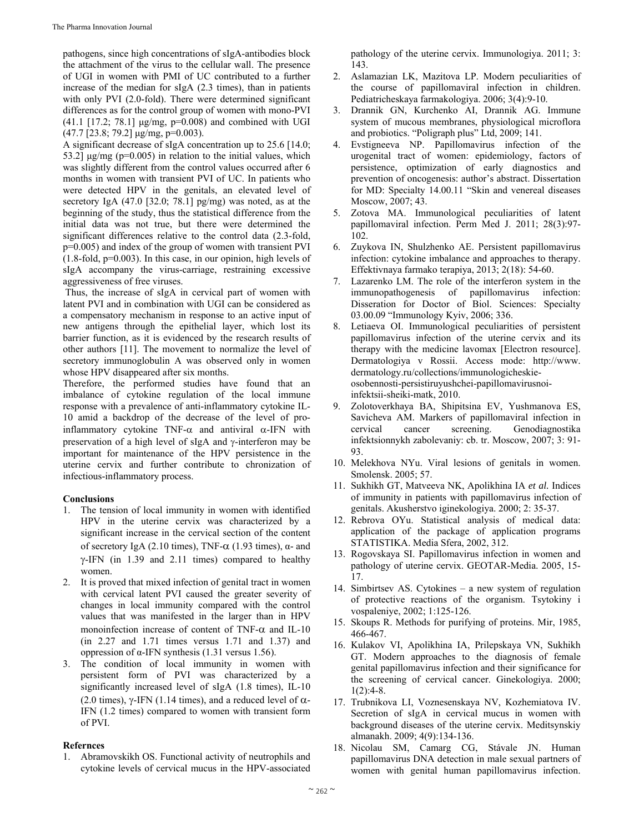pathogens, since high concentrations of sIgA-antibodies block the attachment of the virus to the cellular wall. The presence of UGI in women with PMI of UC contributed to a further increase of the median for sIgA (2.3 times), than in patients with only PVI (2.0-fold). There were determined significant differences as for the control group of women with mono-PVI (41.1 [17.2; 78.1]  $\mu$ g/mg, p=0.008) and combined with UGI  $(47.7 \,[23.8; 79.2] \,\mu g/mg, p=0.003)$ .

A significant decrease of sIgA concentration up to 25.6 [14.0; 53.2]  $\mu$ g/mg (p=0.005) in relation to the initial values, which was slightly different from the control values occurred after 6 months in women with transient PVI of UC. In patients who were detected HPV in the genitals, an elevated level of secretory IgA (47.0 [32.0; 78.1] pg/mg) was noted, as at the beginning of the study, thus the statistical difference from the initial data was not true, but there were determined the significant differences relative to the control data (2.3-fold, p=0.005) and index of the group of women with transient PVI  $(1.8\text{-}fold, p=0.003)$ . In this case, in our opinion, high levels of sIgA accompany the virus-carriage, restraining excessive aggressiveness of free viruses.

 Thus, the increase of sIgA in cervical part of women with latent PVI and in combination with UGI can be considered as a compensatory mechanism in response to an active input of new antigens through the epithelial layer, which lost its barrier function, as it is evidenced by the research results of other authors [11]. The movement to normalize the level of secretory immunoglobulin A was observed only in women whose HPV disappeared after six months.

Therefore, the performed studies have found that an imbalance of cytokine regulation of the local immune response with a prevalence of anti-inflammatory cytokine IL-10 amid a backdrop of the decrease of the level of proinflammatory cytokine TNF- $\alpha$  and antiviral  $\alpha$ -IFN with preservation of a high level of sIgA and  $\gamma$ -interferon may be important for maintenance of the HPV persistence in the uterine cervix and further contribute to chronization of infectious-inflammatory process.

# **Conclusions**

- 1. The tension of local immunity in women with identified HPV in the uterine cervix was characterized by a significant increase in the cervical section of the content of secretory IgA (2.10 times), TNF- $\alpha$  (1.93 times), α- and  $\gamma$ -IFN (in 1.39 and 2.11 times) compared to healthy women.
- 2. It is proved that mixed infection of genital tract in women with cervical latent PVI caused the greater severity of changes in local immunity compared with the control values that was manifested in the larger than in HPV monoinfection increase of content of TNF- $\alpha$  and IL-10 (in 2.27 and 1.71 times versus 1.71 and 1.37) and oppression of α-IFN synthesis (1.31 versus 1.56).
- 3. The condition of local immunity in women with persistent form of PVI was characterized by a significantly increased level of sIgA (1.8 times), IL-10 (2.0 times),  $\gamma$ -IFN (1.14 times), and a reduced level of  $\alpha$ -IFN (1.2 times) compared to women with transient form of PVI.

# **Refernces**

1. Abramovskikh OS. Functional activity of neutrophils and cytokine levels of cervical mucus in the HPV-associated

pathology of the uterine cervix. Immunologiya. 2011; 3: 143.

- 2. Aslamazian LK, Mazitova LP. Modern peculiarities of the course of papillomaviral infection in children. Pediatricheskaya farmakologiya. 2006; 3(4):9-10.
- 3. Drannik GN, Kurchenko AI, Drannik AG. Immune system of mucous membranes, physiological microflora and probiotics. "Poligraph plus" Ltd, 2009; 141.
- 4. Evstigneeva NP. Papillomavirus infection of the urogenital tract of women: epidemiology, factors of persistence, optimization of early diagnostics and prevention of oncogenesis: author's abstract. Dissertation for MD: Specialty 14.00.11 "Skin and venereal diseases Moscow, 2007; 43.
- 5. Zotova MA. Immunological peculiarities of latent papillomaviral infection. Perm Med J. 2011; 28(3):97- 102.
- 6. Zuykova IN, Shulzhenko AE. Persistent papillomavirus infection: cytokine imbalance and approaches to therapy. Effektivnaya farmako terapiya, 2013; 2(18): 54-60.
- 7. Lazarenko LM. The role of the interferon system in the immunopathogenesis of papillomavirus infection: Disseration for Doctor of Biol. Sciences: Specialty 03.00.09 "Immunology Kyiv, 2006; 336.
- 8. Letiaeva OI. Immunological peculiarities of persistent papillomavirus infection of the uterine cervix and its therapy with the medicine lavomax [Electron resource]. Dermatologiya v Rossii. Access mode: http://www. dermatology.ru/collections/immunologicheskieosobennosti-persistiruyushchei-papillomavirusnoiinfektsii-sheiki-matk, 2010.
- 9. Zolotoverkhaya BA, Shipitsina EV, Yushmanova ES, Savicheva AM. Markers of papillomaviral infection in cervical cancer screening. Genodiagnostika infektsionnykh zabolevaniy: cb. tr. Moscow, 2007; 3: 91- 93.
- 10. Melekhova NYu. Viral lesions of genitals in women. Smolensk. 2005; 57.
- 11. Sukhikh GT, Matveeva NK, Apolikhina IA *et al.* Indices of immunity in patients with papillomavirus infection of genitals. Akusherstvo iginekologiya. 2000; 2: 35-37.
- 12. Rebrova OYu. Statistical analysis of medical data: application of the package of application programs STATISTIKA. Media Sfera, 2002, 312.
- 13. Rogovskaya SI. Papillomavirus infection in women and pathology of uterine cervix. GEOTAR-Media. 2005, 15- 17.
- 14. Simbirtsev AS. Cytokines a new system of regulation of protective reactions of the organism. Tsytokiny i vospaleniye, 2002; 1:125-126.
- 15. Skoups R. Methods for purifying of proteins. Mir, 1985, 466-467.
- 16. Kulakov VI, Apolikhina IA, Prilepskaya VN, Sukhikh GT. Modern approaches to the diagnosis of female genital papillomavirus infection and their significance for the screening of cervical cancer. Ginekologiya. 2000;  $1(2):4-8.$
- 17. Trubnikova LI, Voznesenskaya NV, Kozhemiatova IV. Secretion of sIgA in cervical mucus in women with background diseases of the uterine cervix. Meditsynskiy almanakh. 2009; 4(9):134-136.
- 18. Nicolau SM, Camarg CG, Stávale JN. Human papillomavirus DNA detection in male sexual partners of women with genital human papillomavirus infection.